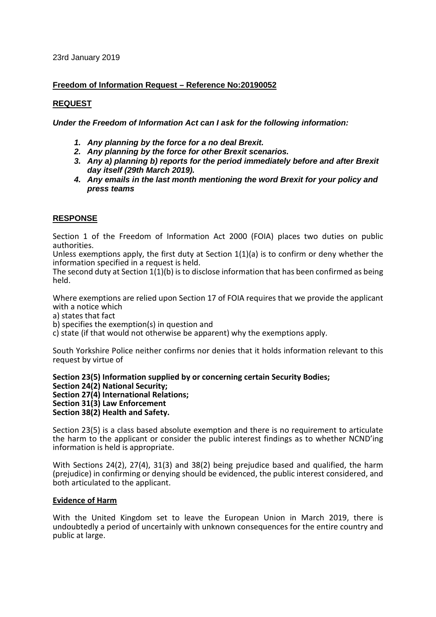23rd January 2019

# **Freedom of Information Request – Reference No:20190052**

# **REQUEST**

*Under the Freedom of Information Act can I ask for the following information:*

- *1. Any planning by the force for a no deal Brexit.*
- *2. Any planning by the force for other Brexit scenarios.*
- *3. Any a) planning b) reports for the period immediately before and after Brexit day itself (29th March 2019).*
- *4. Any emails in the last month mentioning the word Brexit for your policy and press teams*

# **RESPONSE**

Section 1 of the Freedom of Information Act 2000 (FOIA) places two duties on public authorities.

Unless exemptions apply, the first duty at Section  $1(1)(a)$  is to confirm or deny whether the information specified in a request is held.

The second duty at Section 1(1)(b) is to disclose information that has been confirmed as being held.

Where exemptions are relied upon Section 17 of FOIA requires that we provide the applicant with a notice which

a) states that fact

b) specifies the exemption(s) in question and

c) state (if that would not otherwise be apparent) why the exemptions apply.

South Yorkshire Police neither confirms nor denies that it holds information relevant to this request by virtue of

**Section 23(5) Information supplied by or concerning certain Security Bodies; Section 24(2) National Security; Section 27(4) International Relations; Section 31(3) Law Enforcement Section 38(2) Health and Safety.**

Section 23(5) is a class based absolute exemption and there is no requirement to articulate the harm to the applicant or consider the public interest findings as to whether NCND'ing information is held is appropriate.

With Sections 24(2), 27(4), 31(3) and 38(2) being prejudice based and qualified, the harm (prejudice) in confirming or denying should be evidenced, the public interest considered, and both articulated to the applicant.

## **Evidence of Harm**

With the United Kingdom set to leave the European Union in March 2019, there is undoubtedly a period of uncertainly with unknown consequences for the entire country and public at large.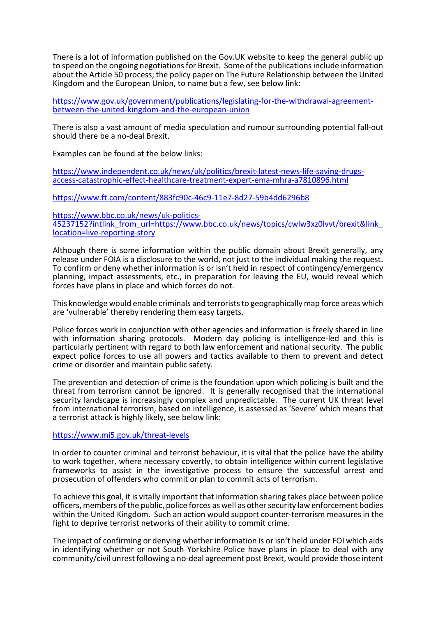There is a lot of information published on the Gov.UK website to keep the general public up to speed on the ongoing negotiations for Brexit. Some of the publications include information about the Article 50 process; the policy paper on The Future Relationship between the United Kingdom and the European Union, to name but a few, see below link:

[https://www.gov.uk/government/publications/legislating-for-the-withdrawal-agreement](https://www.gov.uk/government/publications/legislating-for-the-withdrawal-agreement-between-the-united-kingdom-and-the-european-union)[between-the-united-kingdom-and-the-european-union](https://www.gov.uk/government/publications/legislating-for-the-withdrawal-agreement-between-the-united-kingdom-and-the-european-union)

There is also a vast amount of media speculation and rumour surrounding potential fall-out should there be a no-deal Brexit.

Examples can be found at the below links:

[https://www.independent.co.uk/news/uk/politics/brexit-latest-news-life-saving-drugs](https://www.independent.co.uk/news/uk/politics/brexit-latest-news-life-saving-drugs-access-catastrophic-effect-healthcare-treatment-expert-ema-mhra-a7810896.html)[access-catastrophic-effect-healthcare-treatment-expert-ema-mhra-a7810896.html](https://www.independent.co.uk/news/uk/politics/brexit-latest-news-life-saving-drugs-access-catastrophic-effect-healthcare-treatment-expert-ema-mhra-a7810896.html)

<https://www.ft.com/content/883fc90c-46c9-11e7-8d27-59b4dd6296b8>

[https://www.bbc.co.uk/news/uk-politics-](https://www.bbc.co.uk/news/uk-politics-45237152?intlink_from_url=https://www.bbc.co.uk/news/topics/cwlw3xz0lvvt/brexit&link_location=live-reporting-story)45237152?intlink\_from\_url=https://www.bbc.co.uk/news/topics/cwlw3xz0lvvt/brexit&link [location=live-reporting-story](https://www.bbc.co.uk/news/uk-politics-45237152?intlink_from_url=https://www.bbc.co.uk/news/topics/cwlw3xz0lvvt/brexit&link_location=live-reporting-story)

Although there is some information within the public domain about Brexit generally, any release under FOIA is a disclosure to the world, not just to the individual making the request. To confirm or deny whether information is or isn't held in respect of contingency/emergency planning, impact assessments, etc., in preparation for leaving the EU, would reveal which forces have plans in place and which forces do not.

This knowledge would enable criminals and terrorists to geographically map force areas which are 'vulnerable' thereby rendering them easy targets.

Police forces work in conjunction with other agencies and information is freely shared in line with information sharing protocols. Modern day policing is intelligence-led and this is particularly pertinent with regard to both law enforcement and national security. The public expect police forces to use all powers and tactics available to them to prevent and detect crime or disorder and maintain public safety.

The prevention and detection of crime is the foundation upon which policing is built and the threat from terrorism cannot be ignored. It is generally recognised that the international security landscape is increasingly complex and unpredictable. The current UK threat level from international terrorism, based on intelligence, is assessed as 'Severe' which means that a terrorist attack is highly likely, see below link:

## <https://www.mi5.gov.uk/threat-levels>

In order to counter criminal and terrorist behaviour, it is vital that the police have the ability to work together, where necessary covertly, to obtain intelligence within current legislative frameworks to assist in the investigative process to ensure the successful arrest and prosecution of offenders who commit or plan to commit acts of terrorism.

To achieve this goal, it is vitally important that information sharing takes place between police officers, members of the public, police forces as well as other security law enforcement bodies within the United Kingdom. Such an action would support counter-terrorism measures in the fight to deprive terrorist networks of their ability to commit crime.

The impact of confirming or denying whether information is or isn't held under FOI which aids in identifying whether or not South Yorkshire Police have plans in place to deal with any community/civil unrest following a no-deal agreement post Brexit, would provide those intent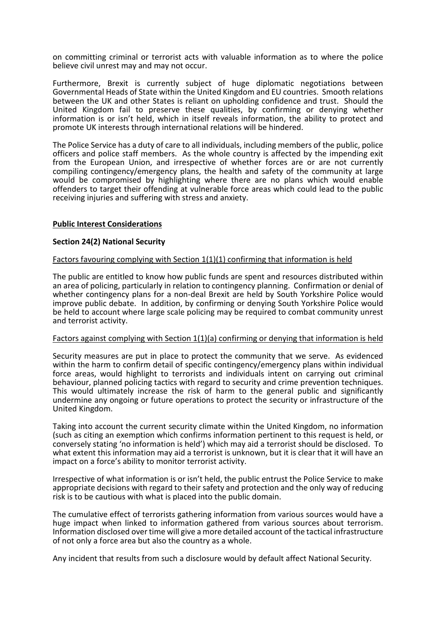on committing criminal or terrorist acts with valuable information as to where the police believe civil unrest may and may not occur.

Furthermore, Brexit is currently subject of huge diplomatic negotiations between Governmental Heads of State within the United Kingdom and EU countries. Smooth relations between the UK and other States is reliant on upholding confidence and trust. Should the United Kingdom fail to preserve these qualities, by confirming or denying whether information is or isn't held, which in itself reveals information, the ability to protect and promote UK interests through international relations will be hindered.

The Police Service has a duty of care to all individuals, including members of the public, police officers and police staff members. As the whole country is affected by the impending exit from the European Union, and irrespective of whether forces are or are not currently compiling contingency/emergency plans, the health and safety of the community at large would be compromised by highlighting where there are no plans which would enable offenders to target their offending at vulnerable force areas which could lead to the public receiving injuries and suffering with stress and anxiety.

### **Public Interest Considerations**

#### **Section 24(2) National Security**

#### Factors favouring complying with Section 1(1)(1) confirming that information is held

The public are entitled to know how public funds are spent and resources distributed within an area of policing, particularly in relation to contingency planning. Confirmation or denial of whether contingency plans for a non-deal Brexit are held by South Yorkshire Police would improve public debate. In addition, by confirming or denying South Yorkshire Police would be held to account where large scale policing may be required to combat community unrest and terrorist activity.

#### Factors against complying with Section 1(1)(a) confirming or denying that information is held

Security measures are put in place to protect the community that we serve. As evidenced within the harm to confirm detail of specific contingency/emergency plans within individual force areas, would highlight to terrorists and individuals intent on carrying out criminal behaviour, planned policing tactics with regard to security and crime prevention techniques. This would ultimately increase the risk of harm to the general public and significantly undermine any ongoing or future operations to protect the security or infrastructure of the United Kingdom.

Taking into account the current security climate within the United Kingdom, no information (such as citing an exemption which confirms information pertinent to this request is held, or conversely stating 'no information is held') which may aid a terrorist should be disclosed. To what extent this information may aid a terrorist is unknown, but it is clear that it will have an impact on a force's ability to monitor terrorist activity.

Irrespective of what information is or isn't held, the public entrust the Police Service to make appropriate decisions with regard to their safety and protection and the only way of reducing risk is to be cautious with what is placed into the public domain.

The cumulative effect of terrorists gathering information from various sources would have a huge impact when linked to information gathered from various sources about terrorism. Information disclosed over time will give a more detailed account of the tactical infrastructure of not only a force area but also the country as a whole.

Any incident that results from such a disclosure would by default affect National Security.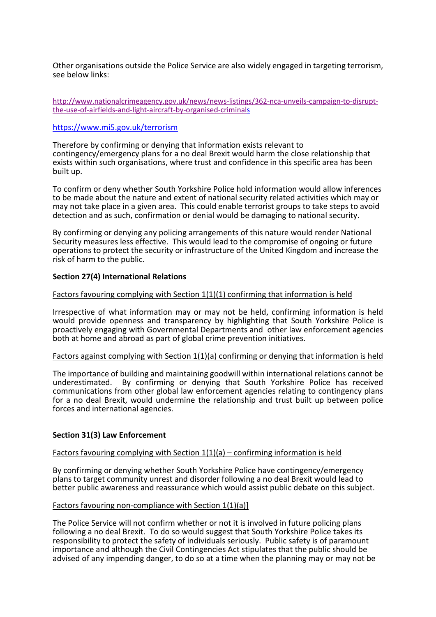Other organisations outside the Police Service are also widely engaged in targeting terrorism, see below links:

[http://www.nationalcrimeagency.gov.uk/news/news-listings/362-nca-unveils-campaign-to-disrupt](http://www.nationalcrimeagency.gov.uk/news/news-listings/362-nca-unveils-campaign-to-disrupt-the-use-of-airfields-and-light-aircraft-by-organised-criminals)[the-use-of-airfields-and-light-aircraft-by-organised-criminals](http://www.nationalcrimeagency.gov.uk/news/news-listings/362-nca-unveils-campaign-to-disrupt-the-use-of-airfields-and-light-aircraft-by-organised-criminals) 

### <https://www.mi5.gov.uk/terrorism>

Therefore by confirming or denying that information exists relevant to contingency/emergency plans for a no deal Brexit would harm the close relationship that exists within such organisations, where trust and confidence in this specific area has been built up.

To confirm or deny whether South Yorkshire Police hold information would allow inferences to be made about the nature and extent of national security related activities which may or may not take place in a given area. This could enable terrorist groups to take steps to avoid detection and as such, confirmation or denial would be damaging to national security.

By confirming or denying any policing arrangements of this nature would render National Security measures less effective. This would lead to the compromise of ongoing or future operations to protect the security or infrastructure of the United Kingdom and increase the risk of harm to the public.

## **Section 27(4) International Relations**

## Factors favouring complying with Section 1(1)(1) confirming that information is held

Irrespective of what information may or may not be held, confirming information is held would provide openness and transparency by highlighting that South Yorkshire Police is proactively engaging with Governmental Departments and other law enforcement agencies both at home and abroad as part of global crime prevention initiatives.

### Factors against complying with Section 1(1)(a) confirming or denying that information is held

The importance of building and maintaining goodwill within international relations cannot be underestimated. By confirming or denying that South Yorkshire Police has received communications from other global law enforcement agencies relating to contingency plans for a no deal Brexit, would undermine the relationship and trust built up between police forces and international agencies.

### **Section 31(3) Law Enforcement**

# Factors favouring complying with Section 1(1)(a) – confirming information is held

By confirming or denying whether South Yorkshire Police have contingency/emergency plans to target community unrest and disorder following a no deal Brexit would lead to better public awareness and reassurance which would assist public debate on this subject.

### Factors favouring non-compliance with Section 1(1)(a)]

The Police Service will not confirm whether or not it is involved in future policing plans following a no deal Brexit. To do so would suggest that South Yorkshire Police takes its responsibility to protect the safety of individuals seriously. Public safety is of paramount importance and although the Civil Contingencies Act stipulates that the public should be advised of any impending danger, to do so at a time when the planning may or may not be